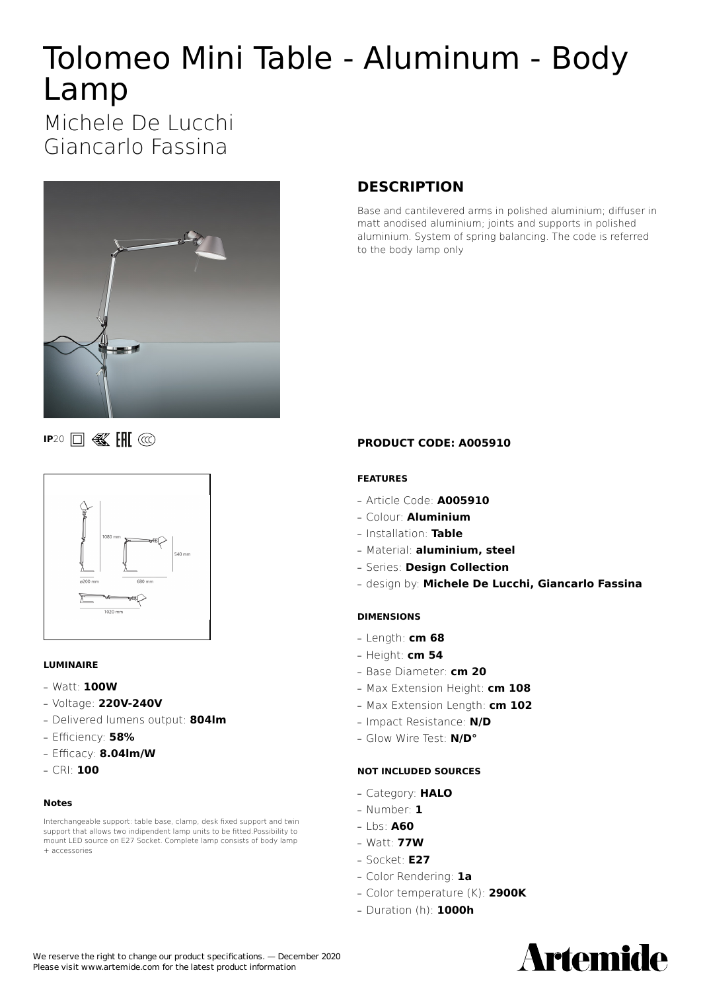# Tolomeo Mini Table - Aluminum - Body Lamp

Michele De Lucchi Giancarlo Fassina



**IP**20 **0 图** 图



#### **LUMINAIRE**

- **—** Watt: **100W**
- **—** Voltage: **220V-240V**
- **—** Delivered lumens output: **804lm**
- **—** Efficiency: **58%**
- **—** Efficacy: **8.04lm/W**
- **—** CRI: **100**

#### **Notes**

Interchangeable support: table base, clamp, desk fixed support and twin support that allows two indipendent lamp units to be fitted.Possibility to mount LED source on E27 Socket. Complete lamp consists of body lamp + accessories

# **DESCRIPTION**

Base and cantilevered arms in polished aluminium; diffuser in matt anodised aluminium; joints and supports in polished aluminium. System of spring balancing. The code is referred to the body lamp only

**PRODUCT CODE: A005910**

#### **FEATURES**

- **—** Article Code: **A005910**
- **—** Colour: **Aluminium**
- **—** Installation: **Table**
- **—** Material: **aluminium, steel**
- **—** Series: **Design Collection**
- **—** design by: **Michele De Lucchi, Giancarlo Fassina**

#### **DIMENSIONS**

- **—** Length: **cm 68**
- **—** Height: **cm 54**
- **—** Base Diameter: **cm 20**
- **—** Max Extension Height: **cm 108**
- **—** Max Extension Length: **cm 102**
- **—** Impact Resistance: **N/D**
- **—** Glow Wire Test: **N/D°**

#### **NOT INCLUDED SOURCES**

- **—** Category: **HALO**
- **—** Number: **1**
- **—** Lbs: **A60**
- **—** Watt: **77W**
- **—** Socket: **E27**
- **—** Color Rendering: **1a**
- **—** Color temperature (K): **2900K**
- **—** Duration (h): **1000h**